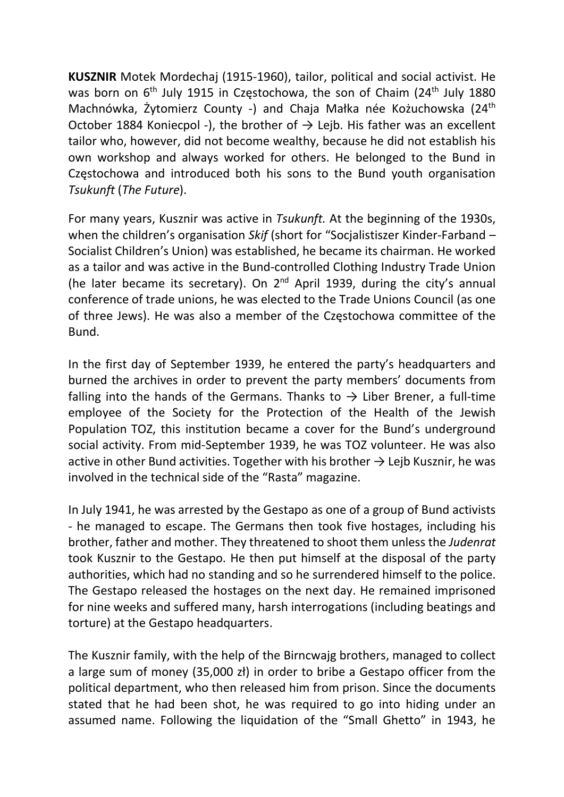KUSZNIR Motek Mordechaj (1915-1960), tailor, political and social activist. He was born on 6<sup>th</sup> July 1915 in Częstochowa, the son of Chaim (24<sup>th</sup> July 1880) Machnówka, Żytomierz County -) and Chaja Małka née Kożuchowska (24th October 1884 Koniecpol -), the brother of  $\rightarrow$  Lejb. His father was an excellent tailor who, however, did not become wealthy, because he did not establish his own workshop and always worked for others. He belonged to the Bund in Częstochowa and introduced both his sons to the Bund youth organisation Tsukunft (The Future).

For many years, Kusznir was active in Tsukunft. At the beginning of the 1930s, when the children's organisation Skif (short for "Socialistiszer Kinder-Farband – Socialist Children's Union) was established, he became its chairman. He worked as a tailor and was active in the Bund-controlled Clothing Industry Trade Union (he later became its secretary). On  $2^{nd}$  April 1939, during the city's annual conference of trade unions, he was elected to the Trade Unions Council (as one of three Jews). He was also a member of the Częstochowa committee of the Bund.

In the first day of September 1939, he entered the party's headquarters and burned the archives in order to prevent the party members' documents from falling into the hands of the Germans. Thanks to  $\rightarrow$  Liber Brener, a full-time employee of the Society for the Protection of the Health of the Jewish Population TOZ, this institution became a cover for the Bund's underground social activity. From mid-September 1939, he was TOZ volunteer. He was also active in other Bund activities. Together with his brother  $\rightarrow$  Leib Kusznir, he was involved in the technical side of the "Rasta" magazine.

In July 1941, he was arrested by the Gestapo as one of a group of Bund activists - he managed to escape. The Germans then took five hostages, including his brother, father and mother. They threatened to shoot them unless the Judenrat took Kusznir to the Gestapo. He then put himself at the disposal of the party authorities, which had no standing and so he surrendered himself to the police. The Gestapo released the hostages on the next day. He remained imprisoned for nine weeks and suffered many, harsh interrogations (including beatings and torture) at the Gestapo headquarters.

The Kusznir family, with the help of the Birncwajg brothers, managed to collect a large sum of money (35,000 zł) in order to bribe a Gestapo officer from the political department, who then released him from prison. Since the documents stated that he had been shot, he was required to go into hiding under an assumed name. Following the liquidation of the "Small Ghetto" in 1943, he